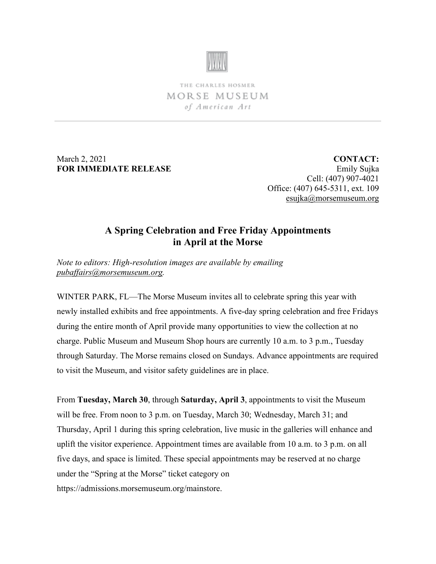

THE CHARLES HOSMER MORSE MUSEUM of American Art

March 2, 2021 **FOR IMMEDIATE RELEASE**

**CONTACT:** Emily Sujka Cell: (407) 907-4021 Office: (407) 645-5311, ext. 109 [esujka@morsemuseum.org](mailto:esujka@morsemuseum.org)

## **A Spring Celebration and Free Friday Appointments in April at the Morse**

*Note to editors: High-resolution images are available by emailing [pubaffairs@morsemuseum.org.](mailto:pubaffairs@morsemuseum.org)*

WINTER PARK, FL—The Morse Museum invites all to celebrate spring this year with newly installed exhibits and free appointments. A five-day spring celebration and free Fridays during the entire month of April provide many opportunities to view the collection at no charge. Public Museum and Museum Shop hours are currently 10 a.m. to 3 p.m., Tuesday through Saturday. The Morse remains closed on Sundays. Advance appointments are required to visit the Museum, and visitor safety guidelines are in place.

From **Tuesday, March 30**, through **Saturday, April 3**, appointments to visit the Museum will be free. From noon to 3 p.m. on Tuesday, March 30; Wednesday, March 31; and Thursday, April 1 during this spring celebration, live music in the galleries will enhance and uplift the visitor experience. Appointment times are available from 10 a.m. to 3 p.m. on all five days, and space is limited. These special appointments may be reserved at no charge under the "Spring at the Morse" ticket category on https://admissions.morsemuseum.org/mainstore.